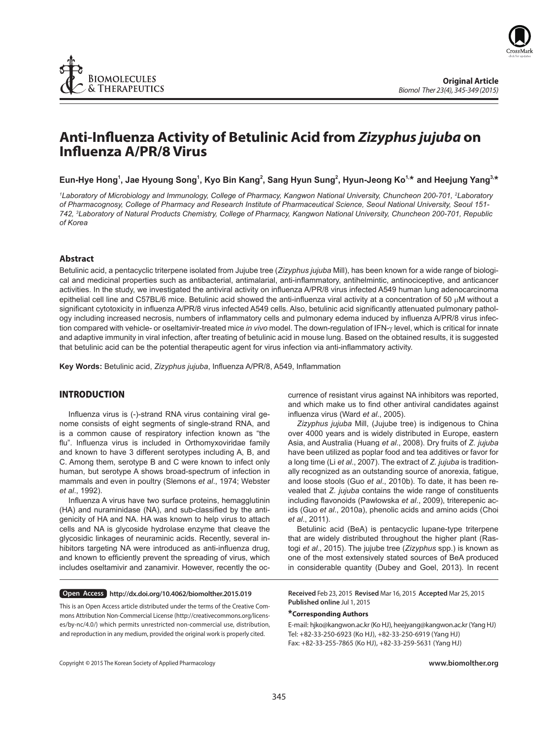



# **Anti-Infl uenza Activity of Betulinic Acid from** *Zizyphus jujuba* **on Infl uenza A/PR/8 Virus**

Eun-Hye Hong<sup>1</sup>, Jae Hyoung Song<sup>1</sup>, Kyo Bin Kang<sup>2</sup>, Sang Hyun Sung<sup>2</sup>, Hyun-Jeong Ko<sup>1,</sup>\* and Heejung Yang<sup>3,</sup>\*

*1 Laboratory of Microbiology and Immunology, College of Pharmacy, Kangwon National University, Chuncheon 200-701, 2 Laboratory of Pharmacognosy, College of Pharmacy and Research Institute of Pharmaceutical Science, Seoul National University, Seoul 151- 742, 3 Laboratory of Natural Products Chemistry, College of Pharmacy, Kangwon National University, Chuncheon 200-701, Republic of Korea*

# **Abstract**

Betulinic acid, a pentacyclic triterpene isolated from Jujube tree (*Zizyphus jujuba* Mill), has been known for a wide range of biological and medicinal properties such as antibacterial, antimalarial, anti-inflammatory, antihelmintic, antinociceptive, and anticancer activities. In the study, we investigated the antiviral activity on influenza A/PR/8 virus infected A549 human lung adenocarcinoma epithelial cell line and C57BL/6 mice. Betulinic acid showed the anti-influenza viral activity at a concentration of 50  $\mu$ M without a significant cytotoxicity in influenza A/PR/8 virus infected A549 cells. Also, betulinic acid significantly attenuated pulmonary pathology including increased necrosis, numbers of inflammatory cells and pulmonary edema induced by influenza A/PR/8 virus infection compared with vehicle- or oseltamivir-treated mice *in vivo* model. The down-regulation of IFN-γ level, which is critical for innate and adaptive immunity in viral infection, after treating of betulinic acid in mouse lung. Based on the obtained results, it is suggested that betulinic acid can be the potential therapeutic agent for virus infection via anti-inflammatory activity.

Key Words: Betulinic acid, *Zizyphus jujuba*, Influenza A/PR/8, A549, Inflammation

### **INTRODUCTION**

Influenza virus is (-)-strand RNA virus containing viral genome consists of eight segments of single-strand RNA, and is a common cause of respiratory infection known as "the flu". Influenza virus is included in Orthomyxoviridae family and known to have 3 different serotypes including A, B, and C. Among them, serotype B and C were known to infect only human, but serotype A shows broad-spectrum of infection in mammals and even in poultry (Slemons *et al*., 1974; Webster *et al*., 1992).

Influenza A virus have two surface proteins, hemagglutinin (HA) and nuraminidase (NA), and sub-classified by the antigenicity of HA and NA. HA was known to help virus to attach cells and NA is glycoside hydrolase enzyme that cleave the glycosidic linkages of neuraminic acids. Recently, several inhibitors targeting NA were introduced as anti-influenza drug, and known to efficiently prevent the spreading of virus, which includes oseltamivir and zanamivir. However, recently the oc-

**Open Access http://dx.doi.org/10.4062/biomolther.2015.019**

This is an Open Access article distributed under the terms of the Creative Commons Attribution Non-Commercial License (http://creativecommons.org/licenses/by-nc/4.0/) which permits unrestricted non-commercial use, distribution, and reproduction in any medium, provided the original work is properly cited.

currence of resistant virus against NA inhibitors was reported, and which make us to find other antiviral candidates against influenza virus (Ward *et al.*, 2005).

*Zizyphus jujuba* Mill, (Jujube tree) is indigenous to China over 4000 years and is widely distributed in Europe, eastern Asia, and Australia (Huang *et al*., 2008). Dry fruits of *Z. jujuba* have been utilized as poplar food and tea additives or favor for a long time (Li *et al*., 2007). The extract of *Z. jujuba* is traditionally recognized as an outstanding source of anorexia, fatigue, and loose stools (Guo *et al*., 2010b). To date, it has been revealed that *Z. jujuba* contains the wide range of constituents including flavonoids (Pawlowska et al., 2009), triterepenic acids (Guo *et al*., 2010a), phenolic acids and amino acids (Choi *et al*., 2011).

Betulinic acid (BeA) is pentacyclic lupane-type triterpene that are widely distributed throughout the higher plant (Rastogi *et al*., 2015). The jujube tree (*Zizyphus* spp.) is known as one of the most extensively stated sources of BeA produced in considerable quantity (Dubey and Goel, 2013). In recent

**Received** Feb 23, 2015 **Revised** Mar 16, 2015 **Accepted** Mar 25, 2015 **Published online** Jul 1, 2015

# **\*Corresponding Authors**

E-mail: hjko@kangwon.ac.kr (Ko HJ), heejyang@kangwon.ac.kr (Yang HJ) Tel: +82-33-250-6923 (Ko HJ), +82-33-250-6919 (Yang HJ) Fax: +82-33-255-7865 (Ko HJ), +82-33-259-5631 (Yang HJ)

Copyright **©** 2015 The Korean Society of Applied Pharmacology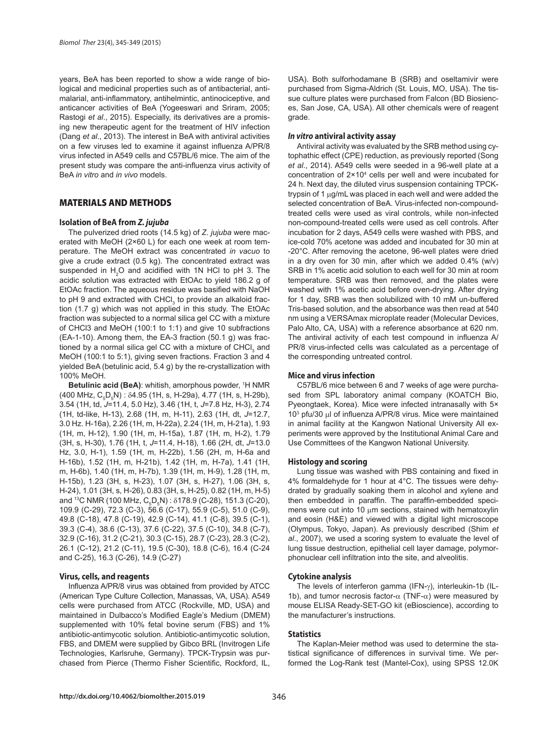years, BeA has been reported to show a wide range of biological and medicinal properties such as of antibacterial, antimalarial, anti-inflammatory, antihelmintic, antinociceptive, and anticancer activities of BeA (Yogeeswari and Sriram, 2005; Rastogi *et al*., 2015). Especially, its derivatives are a promising new therapeutic agent for the treatment of HIV infection (Dang *et al*., 2013). The interest in BeA with antiviral activities on a few viruses led to examine it against influenza A/PR/8 virus infected in A549 cells and C57BL/6 mice. The aim of the present study was compare the anti-influenza virus activity of BeA *in vitro* and *in vivo* models.

# **MATERIALS AND METHODS**

#### **Isolation of BeA from** *Z. jujuba*

The pulverized dried roots (14.5 kg) of *Z. jujuba* were macerated with MeOH (2×60 L) for each one week at room temperature. The MeOH extract was concentrated *in vacuo* to give a crude extract (0.5 kg). The concentrated extract was suspended in  $H_2O$  and acidified with 1N HCl to pH 3. The acidic solution was extracted with EtOAc to yield 186.2 g of EtOAc fraction. The aqueous residue was basified with NaOH to pH 9 and extracted with CHCl<sub>3</sub> to provide an alkaloid fraction (1.7 g) which was not applied in this study. The EtOAc fraction was subjected to a normal silica gel CC with a mixture of CHCl3 and MeOH (100:1 to 1:1) and give 10 subfractions (EA-1-10). Among them, the EA-3 fraction (50.1 g) was fractioned by a normal silica gel CC with a mixture of CHCl<sub>3</sub> and MeOH (100:1 to 5:1), giving seven fractions. Fraction 3 and 4 yielded BeA (betulinic acid, 5.4 g) by the re-crystallization with 100% MeOH.

Betulinic acid (BeA): whitish, amorphous powder, <sup>1</sup>H NMR (400 MHz, C<sub>5</sub>D<sub>5</sub>N) : δ4.95 (1H, s, H-29a), 4.77 (1H, s, H-29b), 3.54 (1H, td, *J*=11.4, 5.0 Hz), 3.46 (1H, t, *J*=7.8 Hz, H-3), 2.74 (1H, td-like, H-13), 2.68 (1H, m, H-11), 2.63 (1H, dt, *J*=12.7, 3.0 Hz. H-16a), 2.26 (1H, m, H-22a), 2.24 (1H, m, H-21a), 1.93 (1H, m, H-12), 1.90 (1H, m, H-15a), 1.87 (1H, m, H-2), 1.79 (3H, s, H-30), 1.76 (1H, t, *J*=11.4, H-18), 1.66 (2H, dt, *J*=13.0 Hz, 3.0, H-1), 1.59 (1H, m, H-22b), 1.56 (2H, m, H-6a and H-16b), 1.52 (1H, m, H-21b), 1.42 (1H, m, H-7a), 1.41 (1H, m, H-6b), 1.40 (1H, m, H-7b), 1.39 (1H, m, H-9), 1.28 (1H, m, H-15b), 1.23 (3H, s, H-23), 1.07 (3H, s, H-27), 1.06 (3H, s, H-24), 1.01 (3H, s, H-26), 0.83 (3H, s, H-25), 0.82 (1H, m, H-5) and <sup>13</sup>C NMR (100 MHz, C<sub>5</sub>D<sub>5</sub>N) : δ178.9 (C-28), 151.3 (C-20), 109.9 (C-29), 72.3 (C-3), 56.6 (C-17), 55.9 (C-5), 51.0 (C-9), 49.8 (C-18), 47.8 (C-19), 42.9 (C-14), 41.1 (C-8), 39.5 (C-1), 39.3 (C-4), 38.6 (C-13), 37.6 (C-22), 37.5 (C-10), 34.8 (C-7), 32.9 (C-16), 31.2 (C-21), 30.3 (C-15), 28.7 (C-23), 28.3 (C-2), 26.1 (C-12), 21.2 (C-11), 19.5 (C-30), 18.8 (C-6), 16.4 (C-24 and C-25), 16.3 (C-26), 14.9 (C-27)

#### **Virus, cells, and reagents**

Influenza A/PR/8 virus was obtained from provided by ATCC (American Type Culture Collection, Manassas, VA, USA). A549 cells were purchased from ATCC (Rockville, MD, USA) and maintained in Dulbacco's Modified Eagle's Medium (DMEM) supplemented with 10% fetal bovine serum (FBS) and 1% antibiotic-antimycotic solution. Antibiotic-antimycotic solution, FBS, and DMEM were supplied by Gibco BRL (Invitrogen Life Technologies, Karlsruhe, Germany). TPCK-Trypsin was purchased from Pierce (Thermo Fisher Scientific, Rockford, IL, USA). Both sulforhodamane B (SRB) and oseltamivir were purchased from Sigma-Aldrich (St. Louis, MO, USA). The tissue culture plates were purchased from Falcon (BD Biosiences, San Jose, CA, USA). All other chemicals were of reagent grade.

#### *In vitro* **antiviral activity assay**

Antiviral activity was evaluated by the SRB method using cytophathic effect (CPE) reduction, as previously reported (Song *et al*., 2014). A549 cells were seeded in a 96-well plate at a concentration of  $2 \times 10^4$  cells per well and were incubated for 24 h. Next day, the diluted virus suspension containing TPCKtrypsin of 1 μg/mL was placed in each well and were added the selected concentration of BeA. Virus-infected non-compoundtreated cells were used as viral controls, while non-infected non-compound-treated cells were used as cell controls. After incubation for 2 days, A549 cells were washed with PBS, and ice-cold 70% acetone was added and incubated for 30 min at -20°C. After removing the acetone, 96-well plates were dried in a dry oven for 30 min, after which we added 0.4% (w/v) SRB in 1% acetic acid solution to each well for 30 min at room temperature. SRB was then removed, and the plates were washed with 1% acetic acid before oven-drying. After drying for 1 day, SRB was then solubilized with 10 mM un-buffered Tris-based solution, and the absorbance was then read at 540 nm using a VERSAmax microplate reader (Molecular Devices, Palo Alto, CA, USA) with a reference absorbance at 620 nm. The antiviral activity of each test compound in influenza  $A/$ PR/8 virus-infected cells was calculated as a percentage of the corresponding untreated control.

#### **Mice and virus infection**

C57BL/6 mice between 6 and 7 weeks of age were purchased from SPL laboratory animal company (KOATCH Bio, Pyeongtaek, Korea). Mice were infected intranasally with 5× 10<sup>3</sup> pfu/30 μl of influenza A/PR/8 virus. Mice were maintained in animal facility at the Kangwon National University All experiments were approved by the Institutional Animal Care and Use Committees of the Kangwon National University.

#### **Histology and scoring**

Lung tissue was washed with PBS containing and fixed in 4% formaldehyde for 1 hour at 4°C. The tissues were dehydrated by gradually soaking them in alcohol and xylene and then embedded in paraffin. The paraffin-embedded specimens were cut into 10 μm sections, stained with hematoxylin and eosin (H&E) and viewed with a digital light microscope (Olympus, Tokyo, Japan). As previously described (Shim *et al*., 2007), we used a scoring system to evaluate the level of lung tissue destruction, epithelial cell layer damage, polymorphonuclear cell infiltration into the site, and alveolitis.

#### **Cytokine analysis**

The levels of interferon gamma (IFN-γ), interleukin-1b (IL-1b), and tumor necrosis factor- $\alpha$  (TNF- $\alpha$ ) were measured by mouse ELISA Ready-SET-GO kit (eBioscience), according to the manufacturer's instructions.

#### **Statistics**

The Kaplan-Meier method was used to determine the statistical significance of differences in survival time. We performed the Log-Rank test (Mantel-Cox), using SPSS 12.0K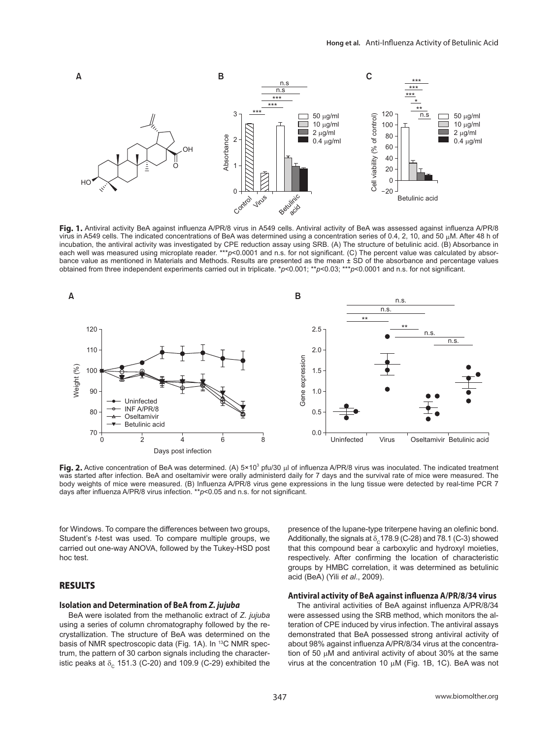

Fig. 1. Antiviral activity BeA against influenza A/PR/8 virus in A549 cells. Antiviral activity of BeA was assessed against influenza A/PR/8 virus in A549 cells. The indicated concentrations of BeA was determined using a concentration series of 0.4, 2, 10, and 50 μM. After 48 h of incubation, the antiviral activity was investigated by CPE reduction assay using SRB. (A) The structure of betulinic acid. (B) Absorbance in each well was measured using microplate reader.<sup>\*\*\*</sup>*p*<0.0001 and n.s. for not significant. (C) The percent value was calculated by absorbance value as mentioned in Materials and Methods. Results are presented as the mean ± SD of the absorbance and percentage values obtained from three independent experiments carried out in triplicate. \**p*<0.001; \*\**p*<0.003; \*\*\**p*<0.0001 and n.s. for not significant.



**Fig. 2.** Active concentration of BeA was determined. (A) 5×10<sup>3</sup> pfu/30 μl of influenza A/PR/8 virus was inoculated. The indicated treatment was started after infection. BeA and oseltamivir were orally administerd daily for 7 days and the survival rate of mice were measured. The body weights of mice were measured. (B) Influenza A/PR/8 virus gene expressions in the lung tissue were detected by real-time PCR 7 days after influenza A/PR/8 virus infection. \*\*p<0.05 and n.s. for not significant.

for Windows. To compare the differences between two groups, Student's *t*-test was used. To compare multiple groups, we carried out one-way ANOVA, followed by the Tukey-HSD post hoc test.

# **RESULTS**

#### **Isolation and Determination of BeA from** *Z. jujuba*

BeA were isolated from the methanolic extract of *Z. jujuba* using a series of column chromatography followed by the recrystallization. The structure of BeA was determined on the basis of NMR spectroscopic data (Fig. 1A). In <sup>13</sup>C NMR spectrum, the pattern of 30 carbon signals including the characteristic peaks at  $\delta_c$  151.3 (C-20) and 109.9 (C-29) exhibited the presence of the lupane-type triterpene having an olefinic bond. Additionally, the signals at  $\delta_c$ 178.9 (C-28) and 78.1 (C-3) showed that this compound bear a carboxylic and hydroxyl moieties, respectively. After confirming the location of characteristic groups by HMBC correlation, it was determined as betulinic acid (BeA) (Yili *et al*., 2009).

#### Antiviral activity of BeA against influenza A/PR/8/34 virus

The antiviral activities of BeA against influenza A/PR/8/34 were assessed using the SRB method, which monitors the alteration of CPE induced by virus infection. The antiviral assays demonstrated that BeA possessed strong antiviral activity of about 98% against influenza A/PR/8/34 virus at the concentration of 50 μM and antiviral activity of about 30% at the same virus at the concentration 10 μM (Fig. 1B, 1C). BeA was not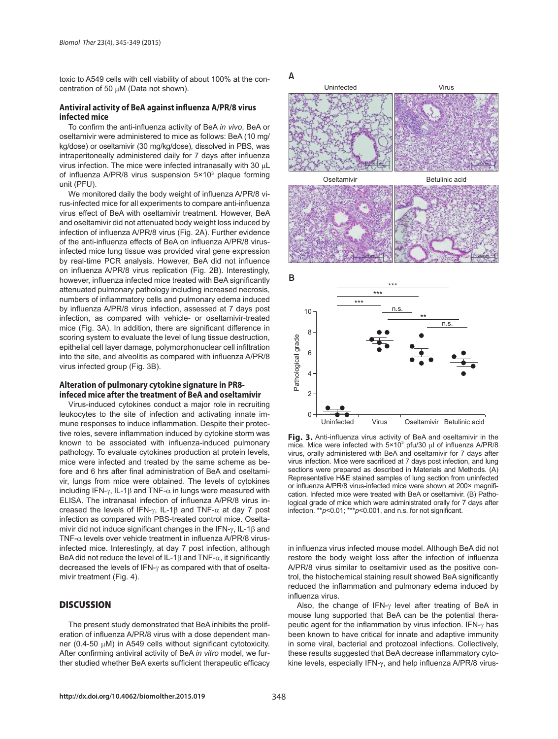toxic to A549 cells with cell viability of about 100% at the concentration of 50 μM (Data not shown).

#### Antiviral activity of BeA against influenza A/PR/8 virus **infected mice**

To confirm the anti-influenza activity of BeA *in vivo*, BeA or oseltamivir were administered to mice as follows: BeA (10 mg/ kg/dose) or oseltamivir (30 mg/kg/dose), dissolved in PBS, was intraperitoneally administered daily for 7 days after influenza virus infection. The mice were infected intranasally with 30 μL of influenza A/PR/8 virus suspension  $5 \times 10^3$  plaque forming unit (PFU).

We monitored daily the body weight of influenza A/PR/8 virus-infected mice for all experiments to compare anti-influenza virus effect of BeA with oseltamivir treatment. However, BeA and oseltamivir did not attenuated body weight loss induced by infection of influenza A/PR/8 virus (Fig. 2A). Further evidence of the anti-influenza effects of BeA on influenza A/PR/8 virusinfected mice lung tissue was provided viral gene expression by real-time PCR analysis. However, BeA did not influence on influenza A/PR/8 virus replication (Fig. 2B). Interestingly, however, influenza infected mice treated with BeA significantly attenuated pulmonary pathology including increased necrosis, numbers of inflammatory cells and pulmonary edema induced by influenza A/PR/8 virus infection, assessed at 7 days post infection, as compared with vehicle- or oseltamivir-treated mice (Fig. 3A). In addition, there are significant difference in scoring system to evaluate the level of lung tissue destruction, epithelial cell layer damage, polymorphonuclear cell infiltration into the site, and alveolitis as compared with influenza A/PR/8 virus infected group (Fig. 3B).

#### **Alteration of pulmonary cytokine signature in PR8 infeced mice after the treatment of BeA and oseltamivir**

Virus-induced cytokines conduct a major role in recruiting leukocytes to the site of infection and activating innate immune responses to induce inflammation. Despite their protective roles, severe inflammation induced by cytokine storm was known to be associated with influenza-induced pulmonary pathology. To evaluate cytokines production at protein levels, mice were infected and treated by the same scheme as before and 6 hrs after final administration of BeA and oseltamivir, lungs from mice were obtained. The levels of cytokines including IFN-γ, IL-1β and TNF- $α$  in lungs were measured with ELISA. The intranasal infection of influenza A/PR/8 virus increased the levels of IFN-γ, IL-1β and TNF- $\alpha$  at day 7 post infection as compared with PBS-treated control mice. Oseltamivir did not induce significant changes in the IFN- $\gamma$ , IL-1 $\beta$  and TNF- $\alpha$  levels over vehicle treatment in influenza A/PR/8 virusinfected mice. Interestingly, at day 7 post infection, although BeA did not reduce the level of IL-1 $\beta$  and TNF- $\alpha$ , it significantly decreased the levels of IFN-γ as compared with that of oseltamivir treatment (Fig. 4).

# **DISCUSSION**

The present study demonstrated that BeA inhibits the proliferation of influenza A/PR/8 virus with a dose dependent manner (0.4-50 μM) in A549 cells without significant cytotoxicity. After confirming antiviral activity of BeA *in vitro* model, we further studied whether BeA exerts sufficient therapeutic efficacy



**Fig. 3.** Anti-influenza virus activity of BeA and oseltamivir in the mice. Mice were infected with  $5 \times 10^3$  pfu/30  $\mu$ l of influenza A/PR/8 virus, orally administered with BeA and oseltamivir for 7 days after virus infection. Mice were sacrificed at 7 days post infection, and lung sections were prepared as described in Materials and Methods. (A) Representative H&E stained samples of lung section from uninfected or influenza A/PR/8 virus-infected mice were shown at 200x magnification. Infected mice were treated with BeA or oseltamivir. (B) Pathological grade of mice which were administrated orally for 7 days after infection. \*\**p*<0.01; \*\*\**p*<0.001, and n.s. for not significant.

in influenza virus infected mouse model. Although BeA did not restore the body weight loss after the infection of influenza A/PR/8 virus similar to oseltamivir used as the positive control, the histochemical staining result showed BeA significantly reduced the inflammation and pulmonary edema induced by influenza virus.

Also, the change of IFN-γ level after treating of BeA in mouse lung supported that BeA can be the potential therapeutic agent for the inflammation by virus infection. IFN- $\gamma$  has been known to have critical for innate and adaptive immunity in some viral, bacterial and protozoal infections. Collectively, these results suggested that BeA decrease inflammatory cytokine levels, especially IFN-γ, and help influenza A/PR/8 virus-